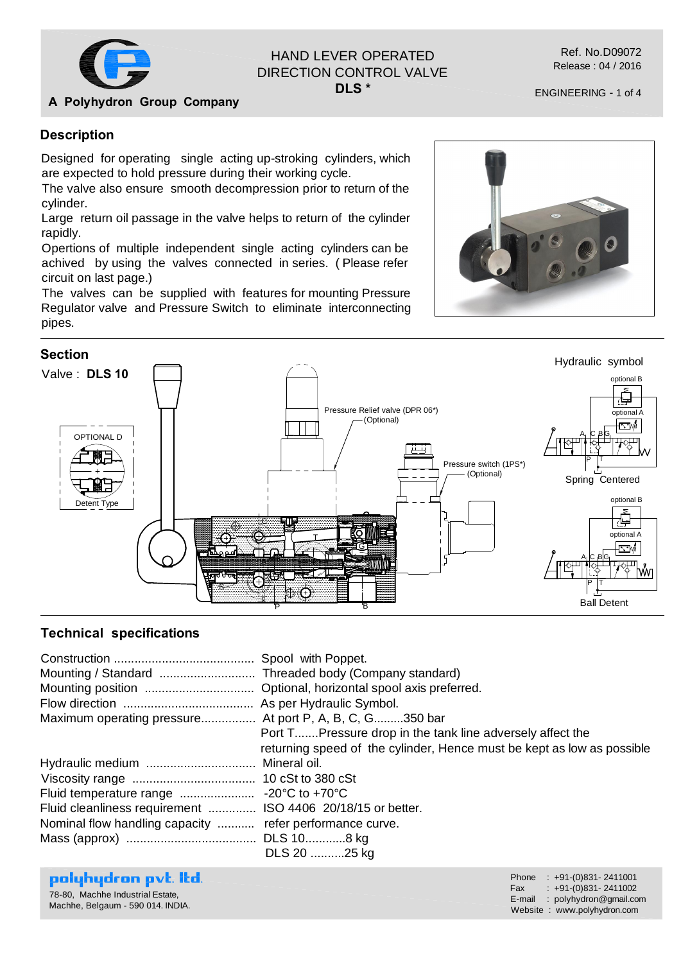

# HAND LEVER OPERATED DIRECTION CONTROL VALVE

**DLS \***

ENGINEERING - 1 of 4

**A Polyhydron Group Company**

### **Description**

Designed for operating single acting up-stroking cylinders, which are expected to hold pressure during their working cycle.

The valve also ensure smooth decompression prior to return of the cylinder.

Large return oil passage in the valve helps to return of the cylinder rapidly.

Opertions of multiple independent single acting cylinders can be achived by using the valves connected in series. ( Please refer circuit on last page.)

The valves can be supplied with features for mounting Pressure Regulator valve and Pressure Switch to eliminate interconnecting pipes.





#### **Technical specifications**

| Maximum operating pressure At port P, A, B, C, G350 bar                                                                 | Port T Pressure drop in the tank line adversely affect the<br>returning speed of the cylinder, Hence must be kept as low as possible |
|-------------------------------------------------------------------------------------------------------------------------|--------------------------------------------------------------------------------------------------------------------------------------|
| Fluid cleanliness requirement  ISO 4406 20/18/15 or better.<br>Nominal flow handling capacity  refer performance curve. | DLS 20 25 kg                                                                                                                         |

## polyhydron pvt. Itd.

78-80, Machhe Industrial Estate, Machhe, Belgaum - 590 014. INDIA.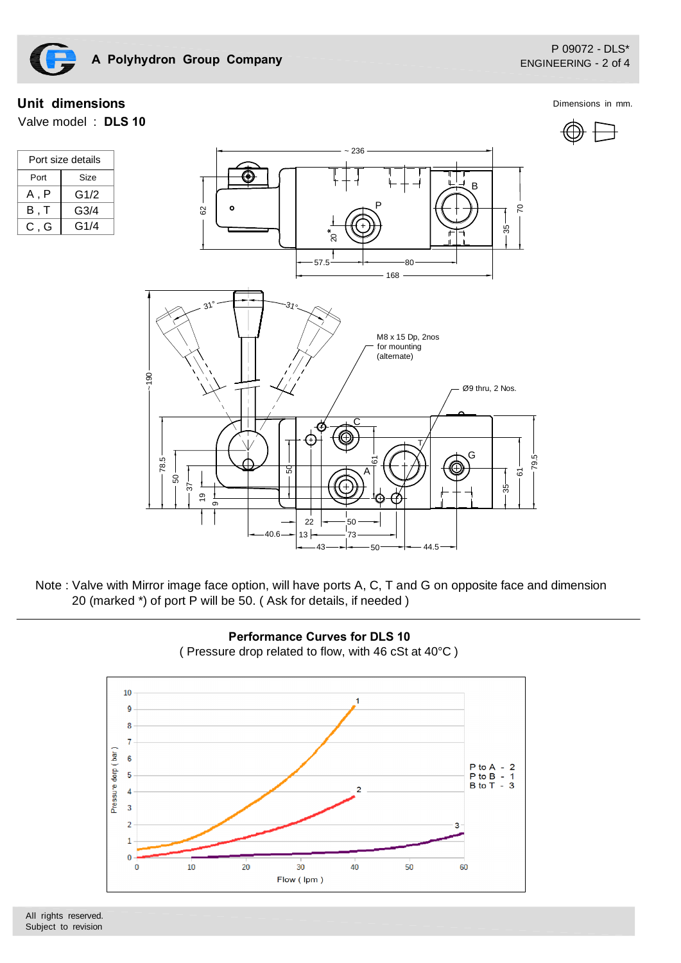

#### **Unit dimensions** Dimensions in mm.

Port size details Port Size

 $\overline{A, P}$ B , T C , G

Valve model : **DLS 10**

G1/2 G3/4  $G1/4$ 





Note : Valve with Mirror image face option, will have ports A, C, T and G on opposite face and dimension 20 (marked \*) of port P will be 50. ( Ask for details, if needed )



All rights reserved. Subject to revision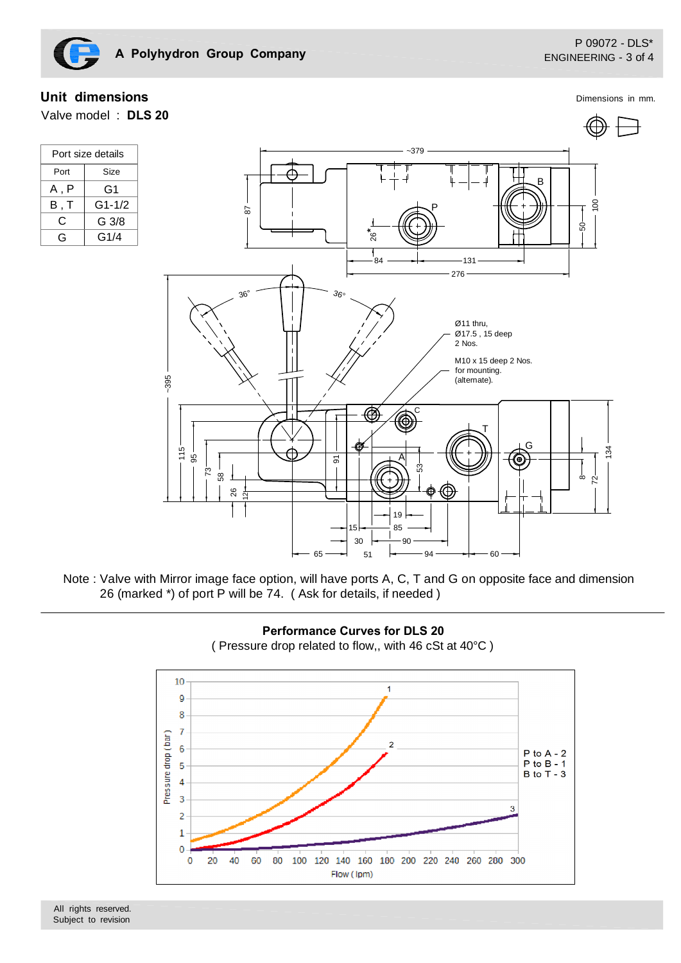Dimensions in mm.

## **Unit dimensions**

Valve model : **DLS 20**

| Port size details |        |  |
|-------------------|--------|--|
| Port              | Size   |  |
| A , P             | G1     |  |
| B.T               | G1-1/2 |  |
| C                 | G 3/8  |  |
| G,                | G1/4   |  |



Note : Valve with Mirror image face option, will have ports A, C, T and G on opposite face and dimension 26 (marked \*) of port P will be 74. ( Ask for details, if needed )



**Performance Curves for DLS 20** ( Pressure drop related to flow,, with 46 cSt at 40°C )